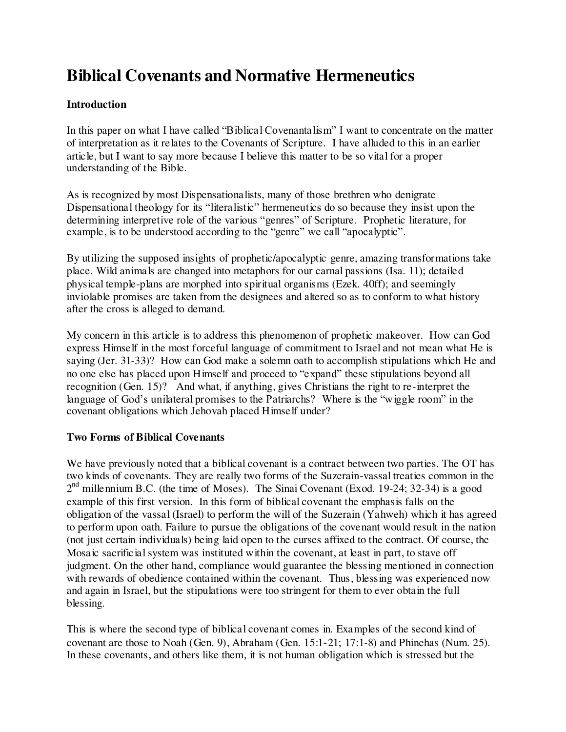## **Biblical Covenants and Normative Hermeneutics**

## **Introduction**

In this paper on what I have called "Biblical Covenantalism" I want to concentrate on the matter of interpretation as it relates to the Covenants of Scripture. I have alluded to this in an earlier article, but I want to say more because I believe this matter to be so vital for a proper understanding of the Bible.

As is recognized by most Dispensationalists, many of those brethren who denigrate Dispensational theology for its "literalistic" hermeneutics do so because they insist upon the determining interpretive role of the various "genres" of Scripture. Prophetic literature, for example, is to be understood according to the "genre" we call "apocalyptic".

By utilizing the supposed insights of prophetic/apocalyptic genre, amazing transformations take place. Wild animals are changed into metaphors for our carnal passions (Isa. 11); detailed physical temple-plans are morphed into spiritual organisms (Ezek. 40ff); and seemingly inviolable promises are taken from the designees and altered so as to conform to what history after the cross is alleged to demand.

My concern in this article is to address this phenomenon of prophetic makeover. How can God express Himself in the most forceful language of commitment to Israel and not mean what He is saying (Jer. 31-33)? How can God make a solemn oath to accomplish stipulations which He and no one else has placed upon Himself and proceed to "expand" these stipulations beyond all recognition (Gen. 15)? And what, if anything, gives Christians the right to re-interpret the language of God's unilateral promises to the Patriarchs? Where is the "wiggle room" in the covenant obligations which Jehovah placed Himself under?

## **Two Forms of Biblical Covenants**

We have previously noted that a biblical covenant is a contract between two parties. The OT has two kinds of covenants. They are really two forms of the Suzerain-vassal treaties common in the 2<sup>nd</sup> millennium B.C. (the time of Moses). The Sinai Covenant (Exod. 19-24; 32-34) is a good example of this first version. In this form of biblical covenant the emphasis falls on the obligation of the vassal (Israel) to perform the will of the Suzerain (Yahweh) which it has agreed to perform upon oath. Failure to pursue the obligations of the covenant would result in the nation (not just certain individuals) being laid open to the curses affixed to the contract. Of course, the Mosaic sacrificial system was instituted within the covenant, at least in part, to stave off judgment. On the other hand, compliance would guarantee the blessing mentioned in connection with rewards of obedience contained within the covenant. Thus, blessing was experienced now and again in Israel, but the stipulations were too stringent for them to ever obtain the full blessing.

This is where the second type of biblical covenant comes in. Examples of the second kind of covenant are those to Noah (Gen. 9), Abraham (Gen. 15:1-21; 17:1-8) and Phinehas (Num. 25). In these covenants, and others like them, it is not human obligation which is stressed but the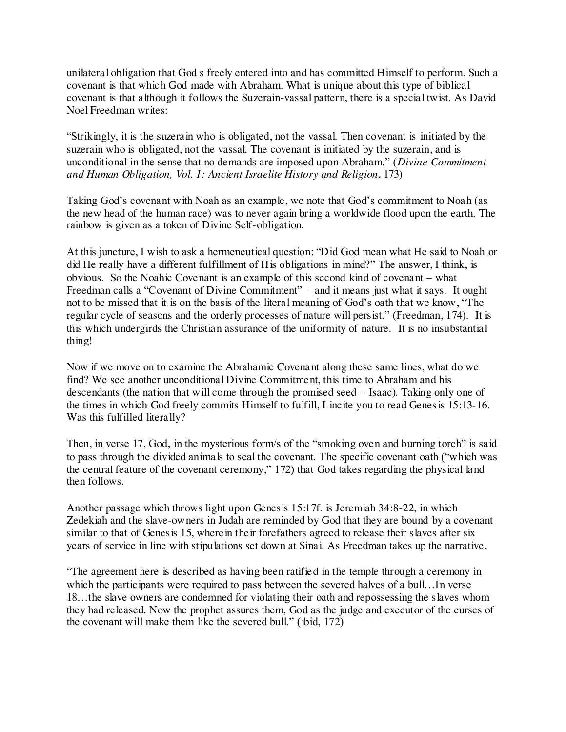unilateral obligation that God s freely entered into and has committed Himself to perform. Such a covenant is that which God made with Abraham. What is unique about this type of biblical covenant is that although it follows the Suzerain-vassal pattern, there is a special twist. As David Noel Freedman writes:

"Strikingly, it is the suzerain who is obligated, not the vassal. Then covenant is initiated by the suzerain who is obligated, not the vassal. The covenant is initiated by the suzerain, and is unconditional in the sense that no demands are imposed upon Abraham." (*Divine Commitment and Human Obligation, Vol. 1: Ancient Israelite History and Religion*, 173)

Taking God's covenant with Noah as an example, we note that God's commitment to Noah (as the new head of the human race) was to never again bring a worldwide flood upon the earth. The rainbow is given as a token of Divine Self-obligation.

At this juncture, I wish to ask a hermeneutical question: "Did God mean what He said to Noah or did He really have a different fulfillment of His obligations in mind?" The answer, I think, is obvious. So the Noahic Covenant is an example of this second kind of covenant – what Freedman calls a "Covenant of Divine Commitment" – and it means just what it says. It ought not to be missed that it is on the basis of the literal meaning of God's oath that we know, "The regular cycle of seasons and the orderly processes of nature will persist." (Freedman, 174). It is this which undergirds the Christian assurance of the uniformity of nature. It is no insubstantial thing!

Now if we move on to examine the Abrahamic Covenant along these same lines, what do we find? We see another unconditional Divine Commitment, this time to Abraham and his descendants (the nation that will come through the promised seed – Isaac). Taking only one of the times in which God freely commits Himself to fulfill, I incite you to read Genes is 15:13-16. Was this fulfilled literally?

Then, in verse 17, God, in the mysterious form/s of the "smoking oven and burning torch" is said to pass through the divided animals to seal the covenant. The specific covenant oath ("which was the central feature of the covenant ceremony," 172) that God takes regarding the physical land then follows.

Another passage which throws light upon Genesis 15:17f. is Jeremiah 34:8-22, in which Zedekiah and the slave-owners in Judah are reminded by God that they are bound by a covenant similar to that of Genesis 15, wherein their forefathers agreed to release their slaves after six years of service in line with stipulations set down at Sinai. As Freedman takes up the narrative,

"The agreement here is described as having been ratified in the temple through a ceremony in which the participants were required to pass between the severed halves of a bull...In verse 18…the slave owners are condemned for violating their oath and repossessing the slaves whom they had released. Now the prophet assures them, God as the judge and executor of the curses of the covenant will make them like the severed bull." (ibid, 172)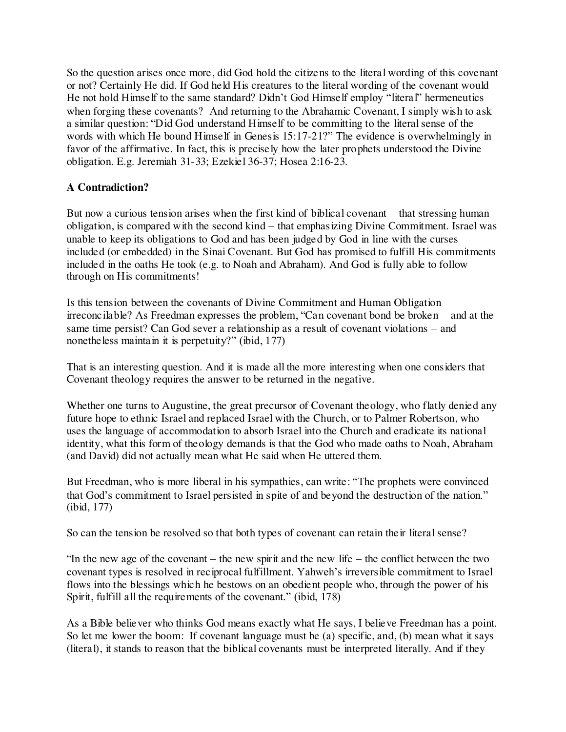So the question arises once more, did God hold the citizens to the literal wording of this covenant or not? Certainly He did. If God held His creatures to the literal wording of the covenant would He not hold Himself to the same standard? Didn't God Himself employ "literal" hermeneutics when forging these covenants? And returning to the Abrahamic Covenant, I simply wish to ask a similar question: "Did God understand Himself to be committing to the literal sense of the words with which He bound Himself in Genesis 15:17-21?" The evidence is overwhelmingly in favor of the affirmative. In fact, this is precisely how the later prophets understood the Divine obligation. E.g. Jeremiah 31-33; Ezekiel 36-37; Hosea 2:16-23.

## **A Contradiction?**

But now a curious tension arises when the first kind of biblical covenant – that stressing human obligation, is compared with the second kind – that emphasizing Divine Commitment. Israel was unable to keep its obligations to God and has been judged by God in line with the curses included (or embedded) in the Sinai Covenant. But God has promised to fulfill His commitments included in the oaths He took (e.g. to Noah and Abraham). And God is fully able to follow through on His commitments!

Is this tension between the covenants of Divine Commitment and Human Obligation irreconcilable? As Freedman expresses the problem, "Can covenant bond be broken – and at the same time persist? Can God sever a relationship as a result of covenant violations – and nonetheless maintain it is perpetuity?" (ibid, 177)

That is an interesting question. And it is made all the more interesting when one considers that Covenant theology requires the answer to be returned in the negative.

Whether one turns to Augustine, the great precursor of Covenant theology, who flatly denied any future hope to ethnic Israel and replaced Israel with the Church, or to Palmer Robertson, who uses the language of accommodation to absorb Israel into the Church and eradicate its national identity, what this form of theology demands is that the God who made oaths to Noah, Abraham (and David) did not actually mean what He said when He uttered them.

But Freedman, who is more liberal in his sympathies, can write: "The prophets were convinced that God's commitment to Israel persisted in spite of and beyond the destruction of the nation." (ibid, 177)

So can the tension be resolved so that both types of covenant can retain their literal sense?

"In the new age of the covenant – the new spirit and the new life – the conflict between the two covenant types is resolved in reciprocal fulfillment. Yahweh's irreversible commitment to Israel flows into the blessings which he bestows on an obedient people who, through the power of his Spirit, fulfill all the requirements of the covenant." (ibid, 178)

As a Bible believer who thinks God means exactly what He says, I believe Freedman has a point. So let me lower the boom: If covenant language must be (a) specific, and, (b) mean what it says (literal), it stands to reason that the biblical covenants must be interpreted literally. And if they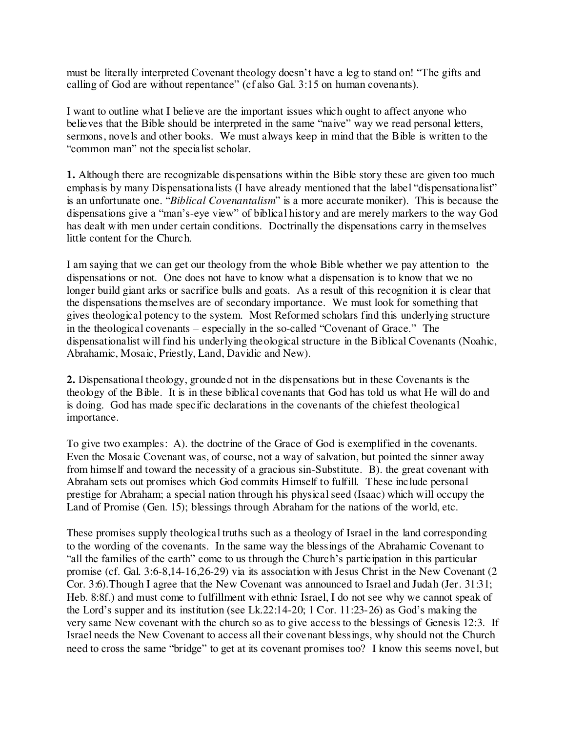must be literally interpreted Covenant theology doesn't have a leg to stand on! "The gifts and calling of God are without repentance" (cf also Gal. 3:15 on human covenants).

I want to outline what I believe are the important issues which ought to affect anyone who believes that the Bible should be interpreted in the same "naive" way we read personal letters, sermons, novels and other books. We must always keep in mind that the Bible is written to the "common man" not the specialist scholar.

**1.** Although there are recognizable dispensations within the Bible story these are given too much emphasis by many Dispensationalists (I have already mentioned that the label "dispensationalist" is an unfortunate one. "*Biblical Covenantalism*" is a more accurate moniker). This is because the dispensations give a "man's-eye view" of biblical history and are merely markers to the way God has dealt with men under certain conditions. Doctrinally the dispensations carry in themselves little content for the Church.

I am saying that we can get our theology from the whole Bible whether we pay attention to the dispensations or not. One does not have to know what a dispensation is to know that we no longer build giant arks or sacrifice bulls and goats. As a result of this recognition it is clear that the dispensations themselves are of secondary importance. We must look for something that gives theological potency to the system. Most Reformed scholars find this underlying structure in the theological covenants – especially in the so-called "Covenant of Grace." The dispensationalist will find his underlying theological structure in the Biblical Covenants (Noahic, Abrahamic, Mosaic, Priestly, Land, Davidic and New).

**2.** Dispensational theology, grounded not in the dispensations but in these Covenants is the theology of the Bible. It is in these biblical covenants that God has told us what He will do and is doing. God has made specific declarations in the covenants of the chiefest theological importance.

To give two examples: A). the doctrine of the Grace of God is exemplified in the covenants. Even the Mosaic Covenant was, of course, not a way of salvation, but pointed the sinner away from himself and toward the necessity of a gracious sin-Substitute. B). the great covenant with Abraham sets out promises which God commits Himself to fulfill. These include personal prestige for Abraham; a special nation through his physical seed (Isaac) which will occupy the Land of Promise (Gen. 15); blessings through Abraham for the nations of the world, etc.

These promises supply theological truths such as a theology of Israel in the land corresponding to the wording of the covenants. In the same way the blessings of the Abrahamic Covenant to "all the families of the earth" come to us through the Church's participation in this particular promise (cf. Gal. 3:6-8,14-16,26-29) via its association with Jesus Christ in the New Covenant (2 Cor. 3:6).Though I agree that the New Covenant was announced to Israel and Judah (Jer. 31:31; Heb. 8:8f.) and must come to fulfillment with ethnic Israel, I do not see why we cannot speak of the Lord's supper and its institution (see Lk.22:14-20; 1 Cor. 11:23-26) as God's making the very same New covenant with the church so as to give access to the blessings of Genesis 12:3. If Israel needs the New Covenant to access all their covenant blessings, why should not the Church need to cross the same "bridge" to get at its covenant promises too? I know this seems novel, but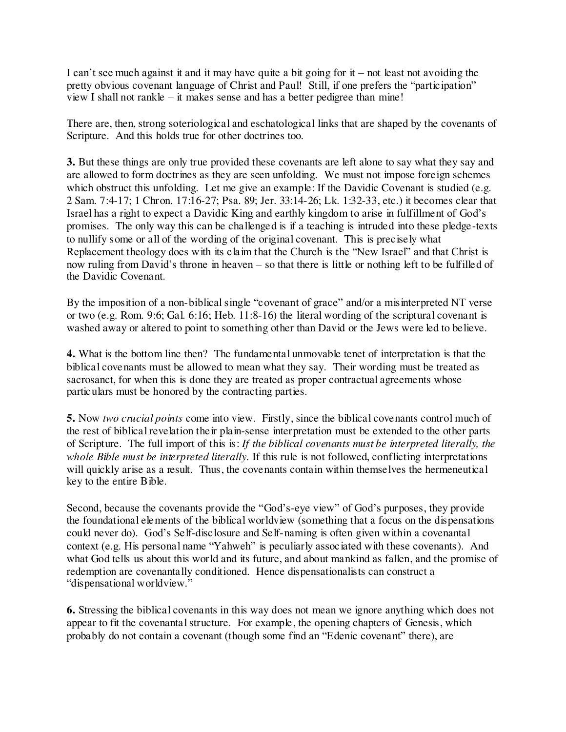I can't see much against it and it may have quite a bit going for  $it$  – not least not avoiding the pretty obvious covenant language of Christ and Paul! Still, if one prefers the "participation" view I shall not rankle  $-$  it makes sense and has a better pedigree than mine!

There are, then, strong soteriological and eschatological links that are shaped by the covenants of Scripture. And this holds true for other doctrines too.

**3.** But these things are only true provided these covenants are left alone to say what they say and are allowed to form doctrines as they are seen unfolding. We must not impose foreign schemes which obstruct this unfolding. Let me give an example: If the Davidic Covenant is studied (e.g. 2 Sam. 7:4-17; 1 Chron. 17:16-27; Psa. 89; Jer. 33:14-26; Lk. 1:32-33, etc.) it becomes clear that Israel has a right to expect a Davidic King and earthly kingdom to arise in fulfillment of God's promises. The only way this can be challenged is if a teaching is intruded into these pledge-texts to nullify some or all of the wording of the original covenant. This is precisely what Replacement theology does with its claim that the Church is the "New Israel" and that Christ is now ruling from David's throne in heaven – so that there is little or nothing left to be fulfilled of the Davidic Covenant.

By the imposition of a non-biblical single "covenant of grace" and/or a misinterpreted NT verse or two (e.g. Rom. 9:6; Gal. 6:16; Heb. 11:8-16) the literal wording of the scriptural covenant is washed away or altered to point to something other than David or the Jews were led to believe.

**4.** What is the bottom line then? The fundamental unmovable tenet of interpretation is that the biblical covenants must be allowed to mean what they say. Their wording must be treated as sacrosanct, for when this is done they are treated as proper contractual agreements whose particulars must be honored by the contracting parties.

**5.** Now *two crucial points* come into view. Firstly, since the biblical covenants control much of the rest of biblical revelation their plain-sense interpretation must be extended to the other parts of Scripture. The full import of this is: *If the biblical covenants must be interpreted literally, the whole Bible must be interpreted literally.* If this rule is not followed, conflicting interpretations will quickly arise as a result. Thus, the covenants contain within themselves the hermeneutical key to the entire Bible.

Second, because the covenants provide the "God's-eye view" of God's purposes, they provide the foundational elements of the biblical worldview (something that a focus on the dispensations could never do). God's Self-disclosure and Self-naming is often given within a covenantal context (e.g. His personal name "Yahweh" is peculiarly associated with these covenants). And what God tells us about this world and its future, and about mankind as fallen, and the promise of redemption are covenantally conditioned. Hence dispensationalists can construct a "dispensational worldview."

**6.** Stressing the biblical covenants in this way does not mean we ignore anything which does not appear to fit the covenantal structure. For example, the opening chapters of Genesis, which probably do not contain a covenant (though some find an "Edenic covenant" there), are